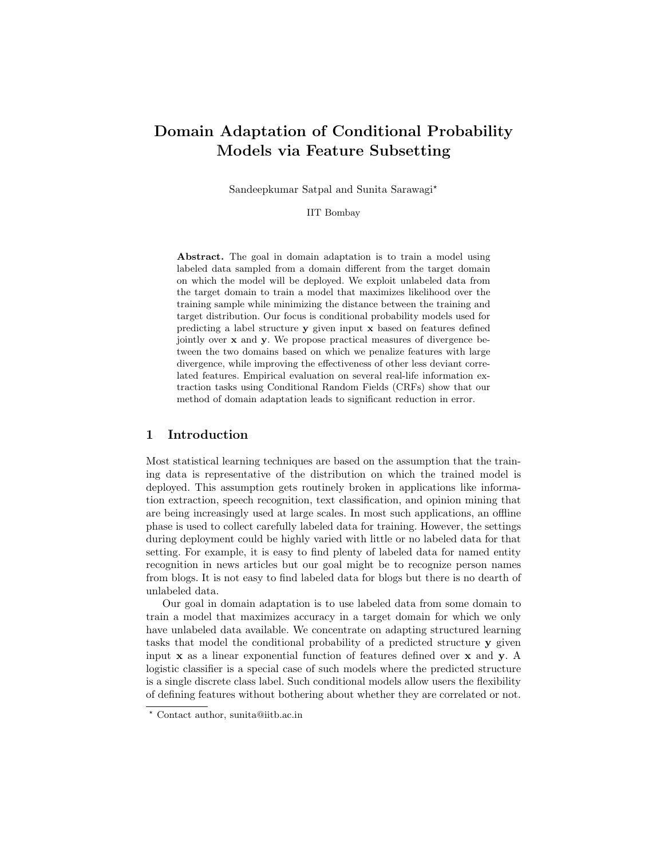# Domain Adaptation of Conditional Probability Models via Feature Subsetting

Sandeepkumar Satpal and Sunita Sarawagi?

IIT Bombay

Abstract. The goal in domain adaptation is to train a model using labeled data sampled from a domain different from the target domain on which the model will be deployed. We exploit unlabeled data from the target domain to train a model that maximizes likelihood over the training sample while minimizing the distance between the training and target distribution. Our focus is conditional probability models used for predicting a label structure y given input x based on features defined jointly over x and y. We propose practical measures of divergence between the two domains based on which we penalize features with large divergence, while improving the effectiveness of other less deviant correlated features. Empirical evaluation on several real-life information extraction tasks using Conditional Random Fields (CRFs) show that our method of domain adaptation leads to significant reduction in error.

# 1 Introduction

Most statistical learning techniques are based on the assumption that the training data is representative of the distribution on which the trained model is deployed. This assumption gets routinely broken in applications like information extraction, speech recognition, text classification, and opinion mining that are being increasingly used at large scales. In most such applications, an offline phase is used to collect carefully labeled data for training. However, the settings during deployment could be highly varied with little or no labeled data for that setting. For example, it is easy to find plenty of labeled data for named entity recognition in news articles but our goal might be to recognize person names from blogs. It is not easy to find labeled data for blogs but there is no dearth of unlabeled data.

Our goal in domain adaptation is to use labeled data from some domain to train a model that maximizes accuracy in a target domain for which we only have unlabeled data available. We concentrate on adapting structured learning tasks that model the conditional probability of a predicted structure y given input x as a linear exponential function of features defined over x and y. A logistic classifier is a special case of such models where the predicted structure is a single discrete class label. Such conditional models allow users the flexibility of defining features without bothering about whether they are correlated or not.

<sup>?</sup> Contact author, sunita@iitb.ac.in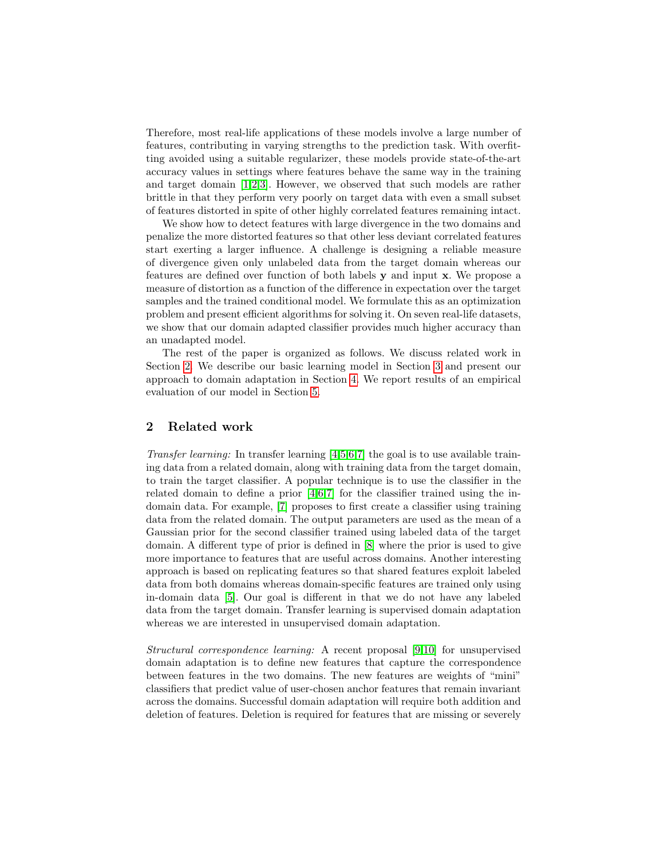Therefore, most real-life applications of these models involve a large number of features, contributing in varying strengths to the prediction task. With overfitting avoided using a suitable regularizer, these models provide state-of-the-art accuracy values in settings where features behave the same way in the training and target domain [\[1](#page-11-0)[,2](#page-11-1)[,3\]](#page-11-2). However, we observed that such models are rather brittle in that they perform very poorly on target data with even a small subset of features distorted in spite of other highly correlated features remaining intact.

We show how to detect features with large divergence in the two domains and penalize the more distorted features so that other less deviant correlated features start exerting a larger influence. A challenge is designing a reliable measure of divergence given only unlabeled data from the target domain whereas our features are defined over function of both labels y and input x. We propose a measure of distortion as a function of the difference in expectation over the target samples and the trained conditional model. We formulate this as an optimization problem and present efficient algorithms for solving it. On seven real-life datasets, we show that our domain adapted classifier provides much higher accuracy than an unadapted model.

The rest of the paper is organized as follows. We discuss related work in Section [2.](#page-1-0) We describe our basic learning model in Section [3](#page-2-0) and present our approach to domain adaptation in Section [4.](#page-3-0) We report results of an empirical evaluation of our model in Section [5.](#page-6-0)

## <span id="page-1-0"></span>2 Related work

Transfer learning: In transfer learning  $[4,5,6,7]$  $[4,5,6,7]$  $[4,5,6,7]$  $[4,5,6,7]$  the goal is to use available training data from a related domain, along with training data from the target domain, to train the target classifier. A popular technique is to use the classifier in the related domain to define a prior  $[4,6,7]$  $[4,6,7]$  $[4,6,7]$  for the classifier trained using the indomain data. For example, [\[7\]](#page-11-6) proposes to first create a classifier using training data from the related domain. The output parameters are used as the mean of a Gaussian prior for the second classifier trained using labeled data of the target domain. A different type of prior is defined in [\[8\]](#page-11-7) where the prior is used to give more importance to features that are useful across domains. Another interesting approach is based on replicating features so that shared features exploit labeled data from both domains whereas domain-specific features are trained only using in-domain data [\[5\]](#page-11-4). Our goal is different in that we do not have any labeled data from the target domain. Transfer learning is supervised domain adaptation whereas we are interested in unsupervised domain adaptation.

Structural correspondence learning: A recent proposal [\[9,](#page-11-8)[10\]](#page-11-9) for unsupervised domain adaptation is to define new features that capture the correspondence between features in the two domains. The new features are weights of "mini" classifiers that predict value of user-chosen anchor features that remain invariant across the domains. Successful domain adaptation will require both addition and deletion of features. Deletion is required for features that are missing or severely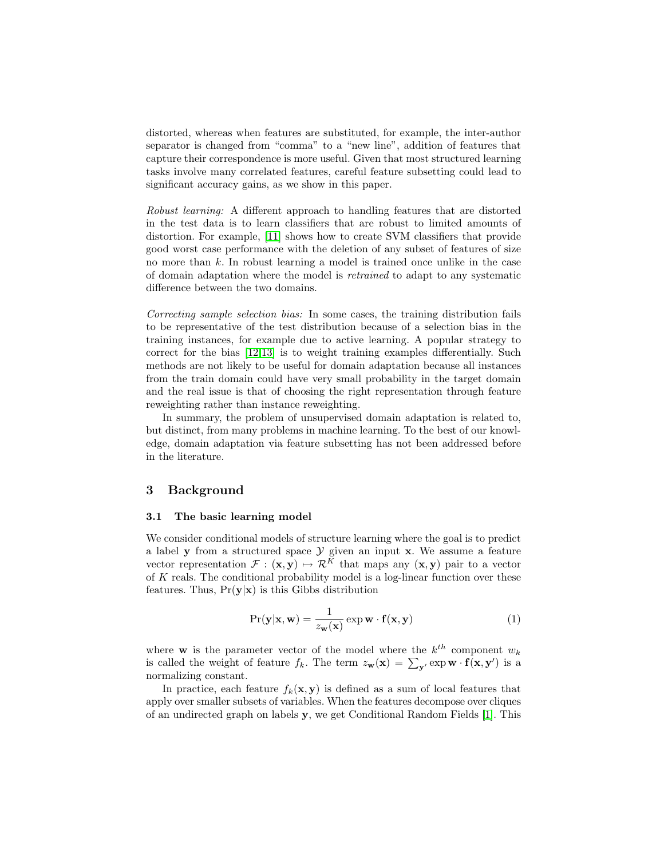distorted, whereas when features are substituted, for example, the inter-author separator is changed from "comma" to a "new line", addition of features that capture their correspondence is more useful. Given that most structured learning tasks involve many correlated features, careful feature subsetting could lead to significant accuracy gains, as we show in this paper.

Robust learning: A different approach to handling features that are distorted in the test data is to learn classifiers that are robust to limited amounts of distortion. For example, [\[11\]](#page-11-10) shows how to create SVM classifiers that provide good worst case performance with the deletion of any subset of features of size no more than k. In robust learning a model is trained once unlike in the case of domain adaptation where the model is retrained to adapt to any systematic difference between the two domains.

Correcting sample selection bias: In some cases, the training distribution fails to be representative of the test distribution because of a selection bias in the training instances, for example due to active learning. A popular strategy to correct for the bias [\[12](#page-11-11)[,13\]](#page-11-12) is to weight training examples differentially. Such methods are not likely to be useful for domain adaptation because all instances from the train domain could have very small probability in the target domain and the real issue is that of choosing the right representation through feature reweighting rather than instance reweighting.

In summary, the problem of unsupervised domain adaptation is related to, but distinct, from many problems in machine learning. To the best of our knowledge, domain adaptation via feature subsetting has not been addressed before in the literature.

## <span id="page-2-0"></span>3 Background

#### 3.1 The basic learning model

We consider conditional models of structure learning where the goal is to predict a label **y** from a structured space  $\mathcal{Y}$  given an input **x**. We assume a feature vector representation  $\mathcal{F} : (\mathbf{x}, \mathbf{y}) \mapsto \mathcal{R}^K$  that maps any  $(\mathbf{x}, \mathbf{y})$  pair to a vector of  $K$  reals. The conditional probability model is a log-linear function over these features. Thus,  $Pr(y|x)$  is this Gibbs distribution

$$
\Pr(\mathbf{y}|\mathbf{x}, \mathbf{w}) = \frac{1}{z_{\mathbf{w}}(\mathbf{x})} \exp \mathbf{w} \cdot \mathbf{f}(\mathbf{x}, \mathbf{y})
$$
(1)

where **w** is the parameter vector of the model where the  $k^{th}$  component  $w_k$ is called the weight of feature  $f_k$ . The term  $z_{\mathbf{w}}(\mathbf{x}) = \sum_{\mathbf{y}'} \exp \mathbf{w} \cdot \mathbf{f}(\mathbf{x}, \mathbf{y}')$  is a normalizing constant.

In practice, each feature  $f_k(\mathbf{x}, \mathbf{y})$  is defined as a sum of local features that apply over smaller subsets of variables. When the features decompose over cliques of an undirected graph on labels y, we get Conditional Random Fields [\[1\]](#page-11-0). This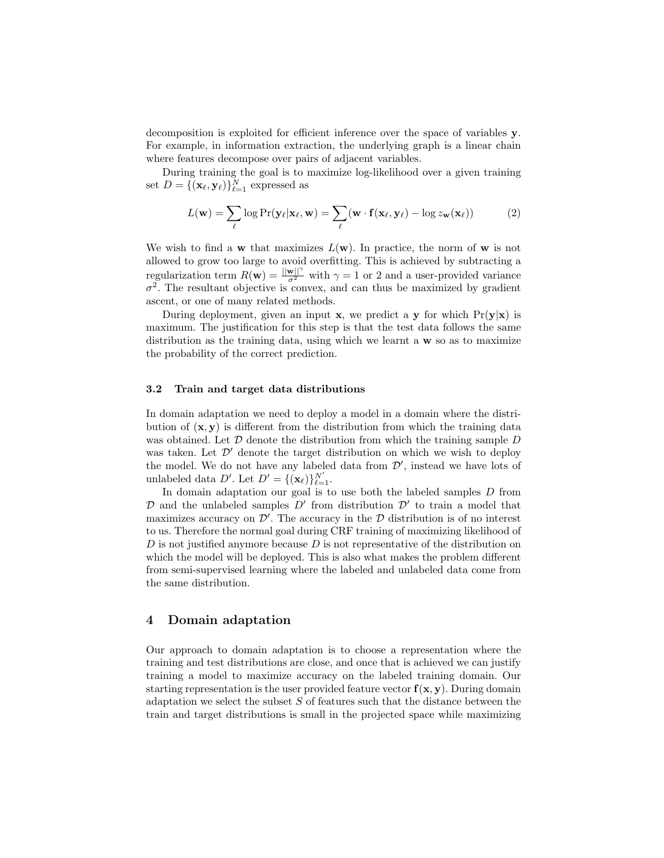decomposition is exploited for efficient inference over the space of variables y. For example, in information extraction, the underlying graph is a linear chain where features decompose over pairs of adjacent variables.

During training the goal is to maximize log-likelihood over a given training set  $D = \{(\mathbf{x}_{\ell}, \mathbf{y}_{\ell})\}_{\ell=1}^{N}$  expressed as

$$
L(\mathbf{w}) = \sum_{\ell} \log \Pr(\mathbf{y}_{\ell} | \mathbf{x}_{\ell}, \mathbf{w}) = \sum_{\ell} (\mathbf{w} \cdot \mathbf{f}(\mathbf{x}_{\ell}, \mathbf{y}_{\ell}) - \log z_{\mathbf{w}}(\mathbf{x}_{\ell})) \tag{2}
$$

We wish to find a w that maximizes  $L(\mathbf{w})$ . In practice, the norm of w is not allowed to grow too large to avoid overfitting. This is achieved by subtracting a regularization term  $R(\mathbf{w}) = \frac{||\mathbf{w}||^{\gamma}}{\sigma^2}$  with  $\gamma = 1$  or 2 and a user-provided variance  $\sigma^2$ . The resultant objective is convex, and can thus be maximized by gradient ascent, or one of many related methods.

During deployment, given an input  $x$ , we predict a y for which  $Pr(y|x)$  is maximum. The justification for this step is that the test data follows the same distribution as the training data, using which we learnt a  $w$  so as to maximize the probability of the correct prediction.

#### 3.2 Train and target data distributions

In domain adaptation we need to deploy a model in a domain where the distribution of  $(x, y)$  is different from the distribution from which the training data was obtained. Let  $D$  denote the distribution from which the training sample  $D$ was taken. Let  $\mathcal{D}'$  denote the target distribution on which we wish to deploy the model. We do not have any labeled data from  $\mathcal{D}'$ , instead we have lots of unlabeled data  $D'$ . Let  $D' = {\{\mathbf{x}_{\ell}\}}_{\ell=1}^{N'}$ .

In domain adaptation our goal is to use both the labeled samples  $D$  from  $D$  and the unlabeled samples  $D'$  from distribution  $D'$  to train a model that maximizes accuracy on  $\mathcal{D}'$ . The accuracy in the  $\mathcal D$  distribution is of no interest to us. Therefore the normal goal during CRF training of maximizing likelihood of  $D$  is not justified anymore because  $D$  is not representative of the distribution on which the model will be deployed. This is also what makes the problem different from semi-supervised learning where the labeled and unlabeled data come from the same distribution.

## <span id="page-3-0"></span>4 Domain adaptation

Our approach to domain adaptation is to choose a representation where the training and test distributions are close, and once that is achieved we can justify training a model to maximize accuracy on the labeled training domain. Our starting representation is the user provided feature vector  $f(x, y)$ . During domain adaptation we select the subset  $S$  of features such that the distance between the train and target distributions is small in the projected space while maximizing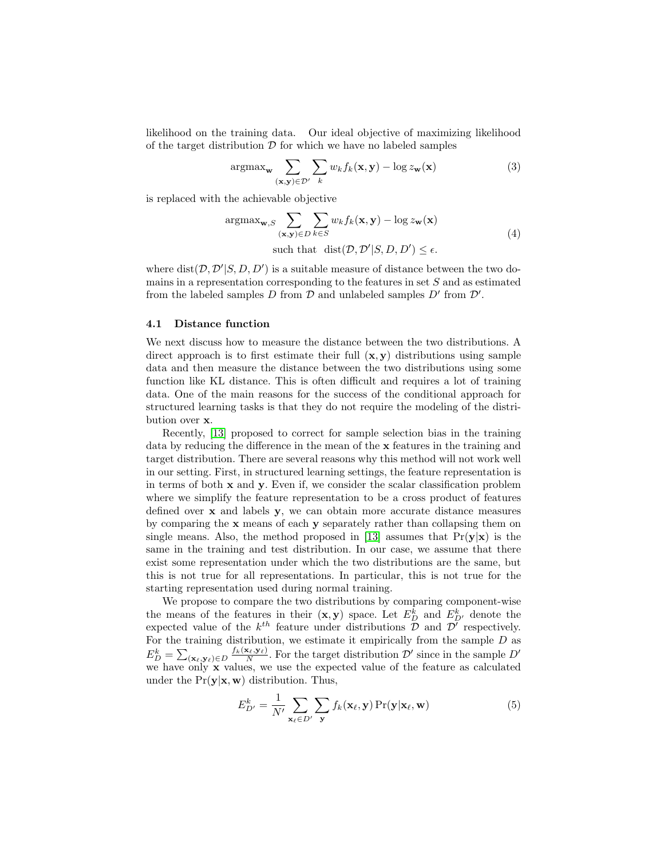likelihood on the training data. Our ideal objective of maximizing likelihood of the target distribution  $D$  for which we have no labeled samples

$$
\operatorname{argmax}_{\mathbf{w}} \sum_{(\mathbf{x}, \mathbf{y}) \in \mathcal{D}'} \sum_{k} w_k f_k(\mathbf{x}, \mathbf{y}) - \log z_{\mathbf{w}}(\mathbf{x}) \tag{3}
$$

is replaced with the achievable objective

$$
\underset{\mathbf{w}, S}{\operatorname{argmax}} \sum_{(\mathbf{x}, \mathbf{y}) \in D} \sum_{k \in S} w_k f_k(\mathbf{x}, \mathbf{y}) - \log z_{\mathbf{w}}(\mathbf{x})
$$
\n
$$
\text{such that } \operatorname{dist}(\mathcal{D}, \mathcal{D}' | S, D, D') \le \epsilon. \tag{4}
$$

where  $dist(D, D'|S, D, D')$  is a suitable measure of distance between the two domains in a representation corresponding to the features in set S and as estimated from the labeled samples D from  $D$  and unlabeled samples  $D'$  from  $D'$ .

#### 4.1 Distance function

We next discuss how to measure the distance between the two distributions. A direct approach is to first estimate their full  $(x, y)$  distributions using sample data and then measure the distance between the two distributions using some function like KL distance. This is often difficult and requires a lot of training data. One of the main reasons for the success of the conditional approach for structured learning tasks is that they do not require the modeling of the distribution over x.

Recently, [\[13\]](#page-11-12) proposed to correct for sample selection bias in the training data by reducing the difference in the mean of the x features in the training and target distribution. There are several reasons why this method will not work well in our setting. First, in structured learning settings, the feature representation is in terms of both  $x$  and  $y$ . Even if, we consider the scalar classification problem where we simplify the feature representation to be a cross product of features defined over x and labels y, we can obtain more accurate distance measures by comparing the x means of each y separately rather than collapsing them on single means. Also, the method proposed in [\[13\]](#page-11-12) assumes that  $Pr(y|x)$  is the same in the training and test distribution. In our case, we assume that there exist some representation under which the two distributions are the same, but this is not true for all representations. In particular, this is not true for the starting representation used during normal training.

We propose to compare the two distributions by comparing component-wise the means of the features in their  $(\mathbf{x}, \mathbf{y})$  space. Let  $E_D^k$  and  $E_{D'}^k$  denote the expected value of the  $k^{th}$  feature under distributions  $\mathcal{D}$  and  $\mathcal{D}'$  respectively. For the training distribution, we estimate it empirically from the sample  $D$  as  $E_D^k = \sum_{(\mathbf{x}_\ell,\mathbf{y}_\ell) \in D} \frac{f_k(\mathbf{x}_\ell,\mathbf{y}_\ell)}{N}$ . For the target distribution  $\mathcal{D}'$  since in the sample  $D'$ we have only x values, we use the expected value of the feature as calculated under the  $Pr(y|\mathbf{x}, \mathbf{w})$  distribution. Thus,

$$
E_{D'}^k = \frac{1}{N'} \sum_{\mathbf{x}_{\ell} \in D'} \sum_{\mathbf{y}} f_k(\mathbf{x}_{\ell}, \mathbf{y}) \Pr(\mathbf{y} | \mathbf{x}_{\ell}, \mathbf{w})
$$
(5)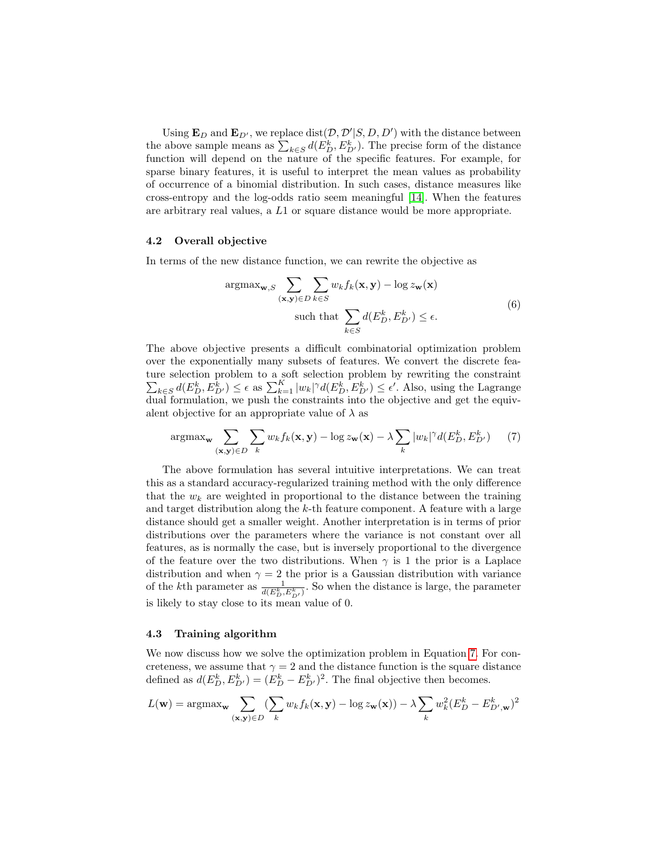Using  $\mathbf{E}_D$  and  $\mathbf{E}_{D'}$ , we replace  $dist(D, \mathcal{D}'|S, D, D')$  with the distance between the above sample means as  $\sum_{k \in S} d(E_D^k, E_{D'}^k)$ . The precise form of the distance function will depend on the nature of the specific features. For example, for sparse binary features, it is useful to interpret the mean values as probability of occurrence of a binomial distribution. In such cases, distance measures like cross-entropy and the log-odds ratio seem meaningful [\[14\]](#page-11-13). When the features are arbitrary real values, a  $L1$  or square distance would be more appropriate.

#### 4.2 Overall objective

In terms of the new distance function, we can rewrite the objective as

$$
\operatorname{argmax}_{\mathbf{w}, S} \sum_{(\mathbf{x}, \mathbf{y}) \in D} \sum_{k \in S} w_k f_k(\mathbf{x}, \mathbf{y}) - \log z_{\mathbf{w}}(\mathbf{x})
$$
  
such that 
$$
\sum_{k \in S} d(E_D^k, E_{D'}^k) \le \epsilon.
$$
 (6)

The above objective presents a difficult combinatorial optimization problem over the exponentially many subsets of features. We convert the discrete feature selection problem to a soft selection problem by rewriting the constraint  $\sum_{k \in S} d(E_D^k, E_{D'}^{\tilde{k}}) \leq \epsilon$  as  $\sum_{k=1}^K |w_k|^{\gamma} d(E_D^k, E_{D'}^k) \leq \epsilon'$ . Also, using the Lagrange dual formulation, we push the constraints into the objective and get the equivalent objective for an appropriate value of  $\lambda$  as

<span id="page-5-0"></span>
$$
\operatorname{argmax}_{\mathbf{w}} \sum_{(\mathbf{x}, \mathbf{y}) \in D} \sum_{k} w_k f_k(\mathbf{x}, \mathbf{y}) - \log z_{\mathbf{w}}(\mathbf{x}) - \lambda \sum_{k} |w_k|^{\gamma} d(E_D^k, E_{D'}^k) \tag{7}
$$

The above formulation has several intuitive interpretations. We can treat this as a standard accuracy-regularized training method with the only difference that the  $w_k$  are weighted in proportional to the distance between the training and target distribution along the  $k$ -th feature component. A feature with a large distance should get a smaller weight. Another interpretation is in terms of prior distributions over the parameters where the variance is not constant over all features, as is normally the case, but is inversely proportional to the divergence of the feature over the two distributions. When  $\gamma$  is 1 the prior is a Laplace distribution and when  $\gamma = 2$  the prior is a Gaussian distribution with variance of the *k*th parameter as  $\frac{1}{d(E_D^k, E_{D'}^k)}$ . So when the distance is large, the parameter is likely to stay close to its mean value of 0.

#### 4.3 Training algorithm

We now discuss how we solve the optimization problem in Equation [7.](#page-5-0) For concreteness, we assume that  $\gamma = 2$  and the distance function is the square distance defined as  $d(E_D^k, E_{D'}^k) = (E_D^k - E_{D'}^k)^2$ . The final objective then becomes.

$$
L(\mathbf{w}) = \operatorname{argmax}_{\mathbf{w}} \sum_{(\mathbf{x}, \mathbf{y}) \in D} (\sum_{k} w_k f_k(\mathbf{x}, \mathbf{y}) - \log z_{\mathbf{w}}(\mathbf{x})) - \lambda \sum_{k} w_k^2 (E_D^k - E_{D', \mathbf{w}}^k)^2
$$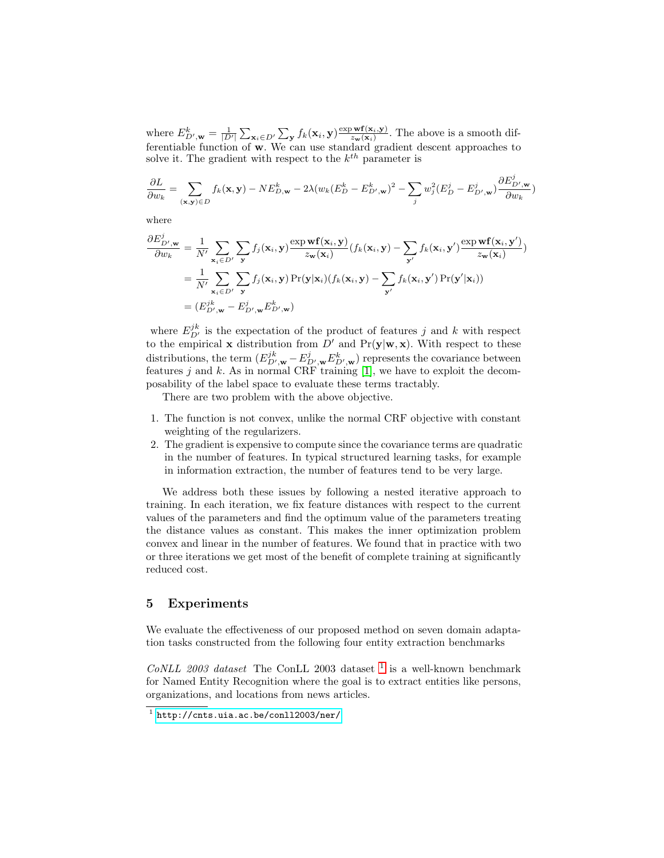where  $E_{D',\mathbf{w}}^k = \frac{1}{|D'|}\sum_{\mathbf{x}_i\in D'}\sum_{\mathbf{y}}f_k(\mathbf{x}_i,\mathbf{y})\frac{\exp \mathbf{wf}(\mathbf{x}_i,\mathbf{y})}{z_{\mathbf{w}}(\mathbf{x}_i)}$  $\frac{\partial \mathbf{w}(\mathbf{x}_i, \mathbf{y})}{\partial \mathbf{x}_{\mathbf{w}}(\mathbf{x}_i)}$ . The above is a smooth differentiable function of w. We can use standard gradient descent approaches to solve it. The gradient with respect to the  $k^{th}$  parameter is

$$
\frac{\partial L}{\partial w_k} = \sum_{(\mathbf{x}, \mathbf{y}) \in D} f_k(\mathbf{x}, \mathbf{y}) - N E_{D, \mathbf{w}}^k - 2\lambda (w_k (E_D^k - E_{D', \mathbf{w}}^k)^2 - \sum_j w_j^2 (E_D^j - E_{D', \mathbf{w}}^j) \frac{\partial E_{D', \mathbf{w}}^j}{\partial w_k})
$$

where

$$
\frac{\partial E_{D',\mathbf{w}}^j}{\partial w_k} = \frac{1}{N'} \sum_{\mathbf{x}_i \in D'} \sum_{\mathbf{y}} f_j(\mathbf{x}_i, \mathbf{y}) \frac{\exp \mathbf{w} \mathbf{f}(\mathbf{x}_i, \mathbf{y})}{z_{\mathbf{w}}(\mathbf{x}_i)} (f_k(\mathbf{x}_i, \mathbf{y}) - \sum_{\mathbf{y}'} f_k(\mathbf{x}_i, \mathbf{y}') \frac{\exp \mathbf{w} \mathbf{f}(\mathbf{x}_i, \mathbf{y}')}{z_{\mathbf{w}}(\mathbf{x}_i)} )
$$
  
\n
$$
= \frac{1}{N'} \sum_{\mathbf{x}_i \in D'} \sum_{\mathbf{y}} f_j(\mathbf{x}_i, \mathbf{y}) \Pr(\mathbf{y} | \mathbf{x}_i) (f_k(\mathbf{x}_i, \mathbf{y}) - \sum_{\mathbf{y}'} f_k(\mathbf{x}_i, \mathbf{y}') \Pr(\mathbf{y}' | \mathbf{x}_i))
$$
  
\n
$$
= (E_{D',\mathbf{w}}^{jk} - E_{D',\mathbf{w}}^{j} E_{D',\mathbf{w}}^{k})
$$

where  $E_{D'}^{jk}$  is the expectation of the product of features j and k with respect to the empirical x distribution from  $D'$  and  $Pr(y|w, x)$ . With respect to these distributions, the term  $(E_{D',\mathbf{w}}^{jk} - E_{D',\mathbf{w}}^j E_{D',\mathbf{w}}^k)$  represents the covariance between features j and k. As in normal CRF training  $[1]$ , we have to exploit the decomposability of the label space to evaluate these terms tractably.

There are two problem with the above objective.

- 1. The function is not convex, unlike the normal CRF objective with constant weighting of the regularizers.
- 2. The gradient is expensive to compute since the covariance terms are quadratic in the number of features. In typical structured learning tasks, for example in information extraction, the number of features tend to be very large.

We address both these issues by following a nested iterative approach to training. In each iteration, we fix feature distances with respect to the current values of the parameters and find the optimum value of the parameters treating the distance values as constant. This makes the inner optimization problem convex and linear in the number of features. We found that in practice with two or three iterations we get most of the benefit of complete training at significantly reduced cost.

## <span id="page-6-0"></span>5 Experiments

We evaluate the effectiveness of our proposed method on seven domain adaptation tasks constructed from the following four entity extraction benchmarks

CoNLL 2003 dataset The ConLL 2003 dataset  $^1$  $^1$  is a well-known benchmark for Named Entity Recognition where the goal is to extract entities like persons, organizations, and locations from news articles.

<span id="page-6-1"></span><sup>1</sup> <http://cnts.uia.ac.be/conll2003/ner/>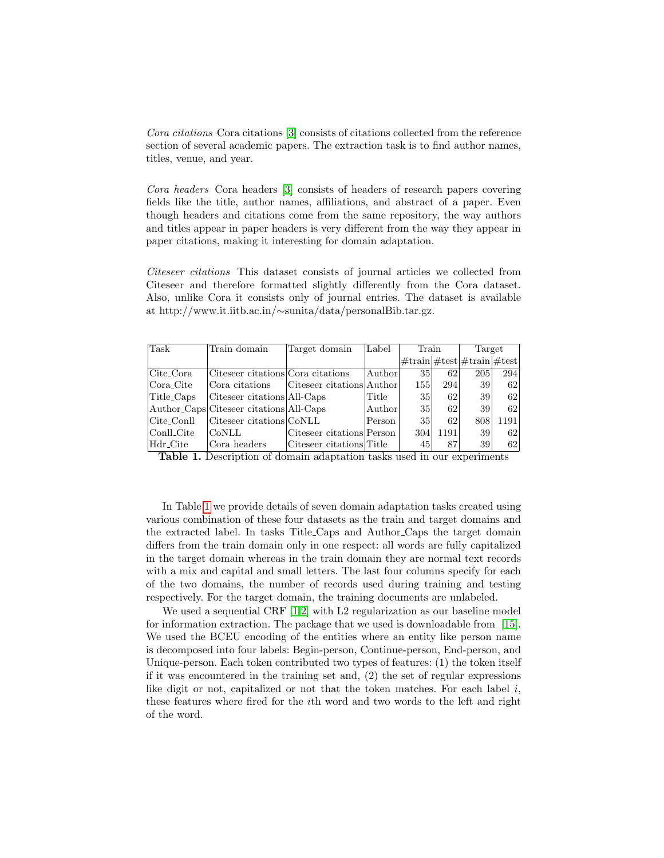Cora citations Cora citations [\[3\]](#page-11-2) consists of citations collected from the reference section of several academic papers. The extraction task is to find author names, titles, venue, and year.

Cora headers Cora headers [\[3\]](#page-11-2) consists of headers of research papers covering fields like the title, author names, affiliations, and abstract of a paper. Even though headers and citations come from the same repository, the way authors and titles appear in paper headers is very different from the way they appear in paper citations, making it interesting for domain adaptation.

Citeseer citations This dataset consists of journal articles we collected from Citeseer and therefore formatted slightly differently from the Cora dataset. Also, unlike Cora it consists only of journal entries. The dataset is available at http://www.it.iitb.ac.in/∼sunita/data/personalBib.tar.gz.

| Task       | Train domain                            | Target domain                                    | Label   | Train           |      | Target                                   |      |
|------------|-----------------------------------------|--------------------------------------------------|---------|-----------------|------|------------------------------------------|------|
|            |                                         |                                                  |         |                 |      | $ \# train  \#test   \# train   \#test $ |      |
| Cite_Cora  | Citeseer citations Cora citations       |                                                  | Authorl | 35 <sup>1</sup> | 62   | 205                                      | 294  |
| Cora_Cite  | Cora citations                          | Citeseer citations Author                        |         | 155             | 294  | 39                                       | 62   |
| Title_Caps | Citeseer citations All-Caps             |                                                  | Title   | 35 <sup>1</sup> | 62   | 39                                       | 62   |
|            | Author_Caps Citeseer citations All-Caps |                                                  | Author  | 35              | 62   | 39                                       | 62   |
| Cite_Conll | Citeseer citations CoNLL                |                                                  | Person  | 35 <sup>1</sup> | 62   | 808                                      | 1191 |
| Conll_Cite | <b>CoNLL</b>                            | Citeseer citations Person                        |         | 304             | 1191 | 39                                       | 62   |
| Hdr_Cite   | Cora headers                            | Citeseer citations Title<br>$\sim$ $\sim$ $\sim$ |         | 45<br>$ -$      | 87   | 39                                       | 62   |

<span id="page-7-0"></span>Table 1. Description of domain adaptation tasks used in our experiments

In Table [1](#page-7-0) we provide details of seven domain adaptation tasks created using various combination of these four datasets as the train and target domains and the extracted label. In tasks Title Caps and Author Caps the target domain differs from the train domain only in one respect: all words are fully capitalized in the target domain whereas in the train domain they are normal text records with a mix and capital and small letters. The last four columns specify for each of the two domains, the number of records used during training and testing respectively. For the target domain, the training documents are unlabeled.

We used a sequential CRF [\[1,](#page-11-0)[2\]](#page-11-1) with L2 regularization as our baseline model for information extraction. The package that we used is downloadable from [\[15\]](#page-11-14). We used the BCEU encoding of the entities where an entity like person name is decomposed into four labels: Begin-person, Continue-person, End-person, and Unique-person. Each token contributed two types of features: (1) the token itself if it was encountered in the training set and, (2) the set of regular expressions like digit or not, capitalized or not that the token matches. For each label  $i$ , these features where fired for the ith word and two words to the left and right of the word.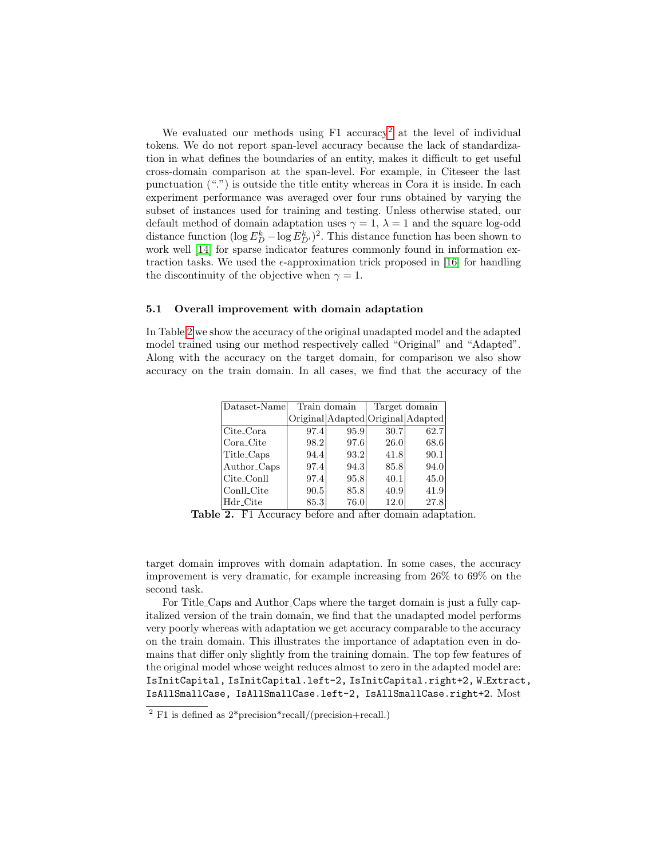We evaluated our methods using  $F1$  accuracy<sup>[2](#page-8-0)</sup> at the level of individual tokens. We do not report span-level accuracy because the lack of standardization in what defines the boundaries of an entity, makes it difficult to get useful cross-domain comparison at the span-level. For example, in Citeseer the last punctuation (".") is outside the title entity whereas in Cora it is inside. In each experiment performance was averaged over four runs obtained by varying the subset of instances used for training and testing. Unless otherwise stated, our default method of domain adaptation uses  $\gamma = 1$ ,  $\lambda = 1$  and the square log-odd distance function  $(\log E_D^k - \log E_{D'}^k)^2$ . This distance function has been shown to work well [\[14\]](#page-11-13) for sparse indicator features commonly found in information extraction tasks. We used the  $\epsilon$ -approximation trick proposed in [\[16\]](#page-11-15) for handling the discontinuity of the objective when  $\gamma = 1$ .

#### 5.1 Overall improvement with domain adaptation

In Table [2](#page-8-1) we show the accuracy of the original unadapted model and the adapted model trained using our method respectively called "Original" and "Adapted". Along with the accuracy on the target domain, for comparison we also show accuracy on the train domain. In all cases, we find that the accuracy of the

| Dataset-Name |      | Train domain                      | Target domain |      |  |  |
|--------------|------|-----------------------------------|---------------|------|--|--|
|              |      | Original Adapted Original Adapted |               |      |  |  |
| Cite_Cora    | 97.4 | 95.9                              | 30.7          | 62.7 |  |  |
| Cora_Cite    | 98.2 | 97.6                              | 26.0          | 68.6 |  |  |
| Title_Caps   | 94.4 | 93.2                              | 41.8          | 90.1 |  |  |
| Author_Caps  | 97.4 | 94.3                              | 85.8          | 94.0 |  |  |
| Cite_Conll   | 97.4 | 95.8                              | 40.1          | 45.0 |  |  |
| Conll_Cite   | 90.5 | 85.8                              | 40.9          | 41.9 |  |  |
| Hdr_Cite     | 85.3 | 76.0                              | 12.0          | 27.8 |  |  |

<span id="page-8-1"></span>Table 2. F1 Accuracy before and after domain adaptation.

target domain improves with domain adaptation. In some cases, the accuracy improvement is very dramatic, for example increasing from 26% to 69% on the second task.

For Title Caps and Author Caps where the target domain is just a fully capitalized version of the train domain, we find that the unadapted model performs very poorly whereas with adaptation we get accuracy comparable to the accuracy on the train domain. This illustrates the importance of adaptation even in domains that differ only slightly from the training domain. The top few features of the original model whose weight reduces almost to zero in the adapted model are: IsInitCapital, IsInitCapital.left-2, IsInitCapital.right+2, W Extract, IsAllSmallCase, IsAllSmallCase.left-2, IsAllSmallCase.right+2. Most

<span id="page-8-0"></span> $2$  F1 is defined as  $2*$ precision $*$ recall/(precision+recall.)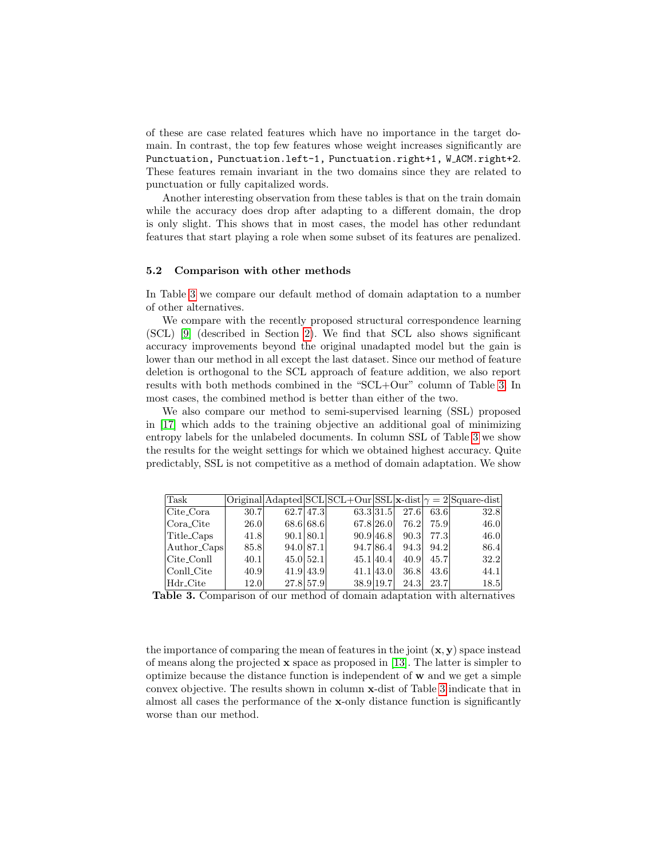of these are case related features which have no importance in the target domain. In contrast, the top few features whose weight increases significantly are Punctuation, Punctuation.left-1, Punctuation.right+1, W ACM.right+2. These features remain invariant in the two domains since they are related to punctuation or fully capitalized words.

Another interesting observation from these tables is that on the train domain while the accuracy does drop after adapting to a different domain, the drop is only slight. This shows that in most cases, the model has other redundant features that start playing a role when some subset of its features are penalized.

#### 5.2 Comparison with other methods

In Table [3](#page-9-0) we compare our default method of domain adaptation to a number of other alternatives.

We compare with the recently proposed structural correspondence learning (SCL) [\[9\]](#page-11-8) (described in Section [2\)](#page-1-0). We find that SCL also shows significant accuracy improvements beyond the original unadapted model but the gain is lower than our method in all except the last dataset. Since our method of feature deletion is orthogonal to the SCL approach of feature addition, we also report results with both methods combined in the "SCL+Our" column of Table [3.](#page-9-0) In most cases, the combined method is better than either of the two.

We also compare our method to semi-supervised learning (SSL) proposed in [\[17\]](#page-11-16) which adds to the training objective an additional goal of minimizing entropy labels for the unlabeled documents. In column SSL of Table [3](#page-9-0) we show the results for the weight settings for which we obtained highest accuracy. Quite predictably, SSL is not competitive as a method of domain adaptation. We show

| Task        |             |           |           |      |      | $ O_{\text{riginal}} $ Adapted $ SCL SCL+Our SSL $ x-dist $ \gamma=2 S_{\text{quare}}-dist $ |
|-------------|-------------|-----------|-----------|------|------|----------------------------------------------------------------------------------------------|
| Cite_Cora   | 30.7        | 62.7 47.3 | 63.3 31.5 | 27.6 | 63.6 | 32.8                                                                                         |
| Cora_Cite   | <b>26.0</b> | 68.6 68.6 | 67.8 26.0 | 76.2 | 75.9 | 46.0                                                                                         |
| Title_Caps  | 41.8        | 90.1 80.1 | 90.9 46.8 | 90.3 | 77.3 | 46.0                                                                                         |
| Author_Caps | 85.8        | 94.0 87.1 | 94.7 86.4 | 94.3 | 94.2 | 86.4                                                                                         |
| Cite_Conll  | 40.1        | 45.0 52.1 | 45.1 40.4 | 40.9 | 45.7 | 32.2                                                                                         |
| Conll_Cite  | 40.9        | 41.9 43.9 | 41.1 43.0 | 36.8 | 43.6 | 44.1                                                                                         |
| Hdr_Cite    | 12.0        | 27.8 57.9 | 38.9 19.7 | 24.3 | 23.7 | 18.5                                                                                         |

<span id="page-9-0"></span>Table 3. Comparison of our method of domain adaptation with alternatives

the importance of comparing the mean of features in the joint  $(x, y)$  space instead of means along the projected  $x$  space as proposed in [\[13\]](#page-11-12). The latter is simpler to optimize because the distance function is independent of w and we get a simple convex objective. The results shown in column x-dist of Table [3](#page-9-0) indicate that in almost all cases the performance of the x-only distance function is significantly worse than our method.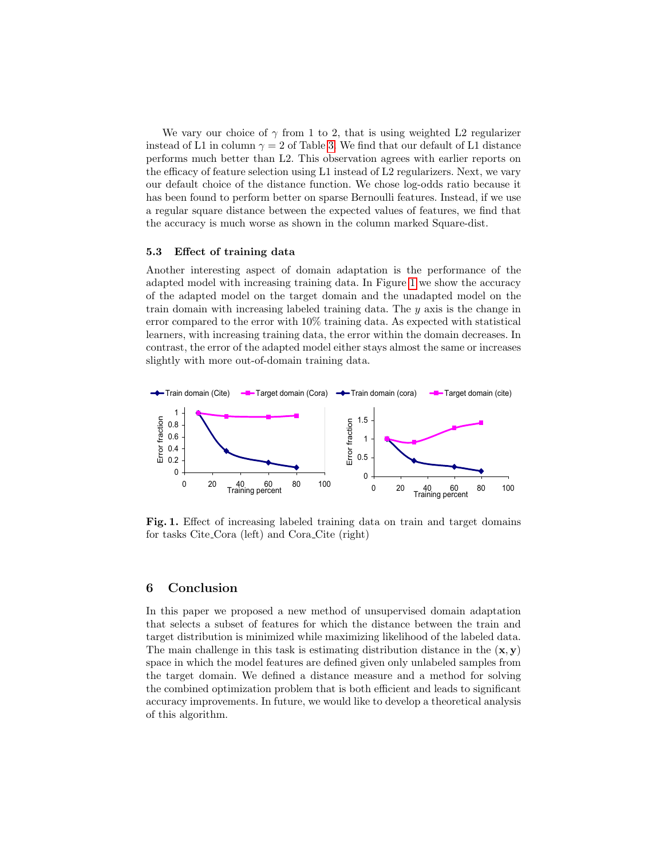We vary our choice of  $\gamma$  from 1 to 2, that is using weighted L2 regularizer instead of L1 in column  $\gamma = 2$  of Table [3.](#page-9-0) We find that our default of L1 distance performs much better than L2. This observation agrees with earlier reports on the efficacy of feature selection using L1 instead of L2 regularizers. Next, we vary our default choice of the distance function. We chose log-odds ratio because it has been found to perform better on sparse Bernoulli features. Instead, if we use a regular square distance between the expected values of features, we find that the accuracy is much worse as shown in the column marked Square-dist.

#### 5.3 Effect of training data

Another interesting aspect of domain adaptation is the performance of the adapted model with increasing training data. In Figure [1](#page-10-0) we show the accuracy of the adapted model on the target domain and the unadapted model on the train domain with increasing labeled training data. The y axis is the change in error compared to the error with 10% training data. As expected with statistical learners, with increasing training data, the error within the domain decreases. In contrast, the error of the adapted model either stays almost the same or increases slightly with more out-of-domain training data.



<span id="page-10-0"></span>Fig. 1. Effect of increasing labeled training data on train and target domains for tasks Cite Cora (left) and Cora Cite (right)

## 6 Conclusion

In this paper we proposed a new method of unsupervised domain adaptation that selects a subset of features for which the distance between the train and target distribution is minimized while maximizing likelihood of the labeled data. The main challenge in this task is estimating distribution distance in the  $(x, y)$ space in which the model features are defined given only unlabeled samples from the target domain. We defined a distance measure and a method for solving the combined optimization problem that is both efficient and leads to significant accuracy improvements. In future, we would like to develop a theoretical analysis of this algorithm.